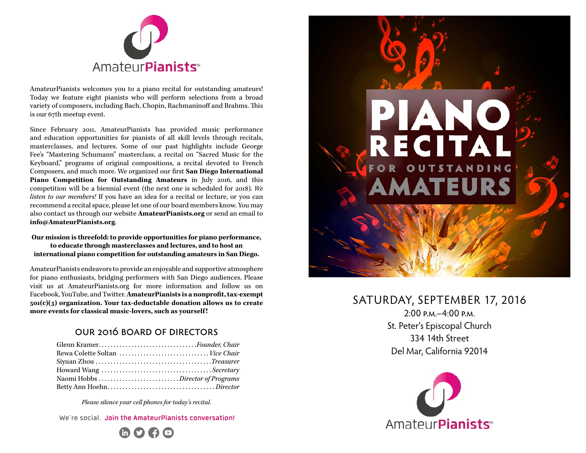

AmateurPianists welcomes you to a piano recital for outstanding amateurs! Today we feature eight pianists who will perform selections from a broad variety of composers, including Bach, Chopin, Rachmaninoff and Brahms. This is our 67th meetup event.

Since February 2011, AmateurPianists has provided music performance and education opportunities for pianists of all skill levels through recitals, masterclasses, and lectures. Some of our past highlights include George Fee's "Mastering Schumann" masterclass, a recital on "Sacred Music for the Keyboard," programs of original compositions, a recital devoted to French Composers, and much more. We organized our first **San Diego International Piano Competition for Outstanding Amateurs** in July 2016, and this competition will be a biennial event (the next one is scheduled for 2018). *We listen to our members!* If you have an idea for a recital or lecture, or you can recommend a recital space, please let one of our board members know. You may also contact us through our website **AmateurPianists.org** or send an email to **info@AmateurPianists.org**.

#### **Our mission is threefold: to provide opportunities for piano performance, to educate through masterclasses and lectures, and to host an international piano competition for outstanding amateurs in San Diego.**

AmateurPianists endeavors to provide an enjoyable and supportive atmosphere for piano enthusiasts, bridging performers with San Diego audiences. Please visit us at AmateurPianists.org for more information and follow us on Facebook, YouTube, and Twitter. **AmateurPianists is a nonprofit, tax-exempt 501(c)(3) organization. Your tax-deductable donation allows us to create more events for classical music-lovers, such as yourself !**

#### our 2016 board of directors

| Glenn KramerFounder, Chair      |  |
|---------------------------------|--|
| Rewa Colette Soltan  Vice Chair |  |
|                                 |  |
|                                 |  |
|                                 |  |
|                                 |  |

*Please silence your cell phones for today's recital.* 

in  $O \ominus O$ **We're social. Join the AmateurPianists conversation!**



# SATURDAY, SEPTEMBER 17, 2016

 $2:00 \text{ p.M} - 4:00 \text{ p.M}$ St. Peter's Episcopal Church 334 14th Street Del Mar, California 92014